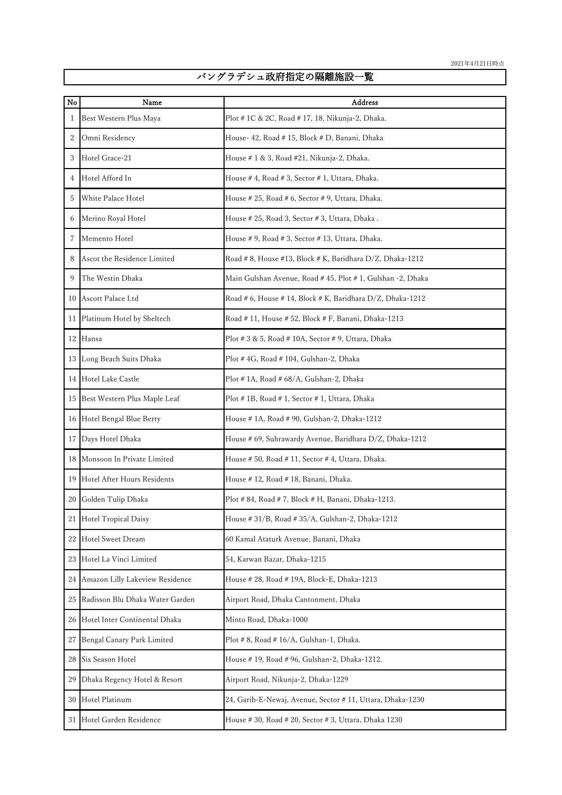## バングラデシュ政府指定の隔離施設一覧

| No | Name                            | Address                                                     |
|----|---------------------------------|-------------------------------------------------------------|
| 1  | Best Western Plus Maya          | Plot # 1C & 2C, Road # 17, 18, Nikunja-2, Dhaka.            |
| 2  | Omni Residency                  | House- 42, Road # 15, Block # D, Banani, Dhaka              |
| 3  | Hotel Grace-21                  | House # 1 & 3, Road #21, Nikunja-2, Dhaka.                  |
| 4  | Hotel Afford In                 | House # 4, Road # 3, Sector # 1, Uttara, Dhaka.             |
| 5  | White Palace Hotel              | House # 25, Road # 6, Sector # 9, Uttara, Dhaka.            |
| 6  | Merino Royal Hotel              | House # 25, Road 3, Sector # 3, Uttara, Dhaka.              |
| 7  | Memento Hotel                   | House # 9, Road # 3, Sector # 13, Uttara, Dhaka.            |
| 8  | Ascot the Residence Limited     | Road # 8, House #13, Block # K, Baridhara D/Z, Dhaka-1212   |
| 9  | The Westin Dhaka                | Main Gulshan Avenue, Road # 45, Plot # 1, Gulshan -2, Dhaka |
|    | 10 Ascott Palace Ltd            | Road # 6, House # 14, Block # K, Baridhara D/Z, Dhaka-1212  |
| 11 | Platinum Hotel by Sheltech      | Road # 11, House # 52, Block # F, Banani, Dhaka-1213        |
| 12 | Hansa                           | Plot #3 & 5, Road #10A, Sector #9, Uttara, Dhaka            |
|    | 13 Long Beach Suits Dhaka       | Plot #4G, Road #104, Gulshan-2, Dhaka                       |
|    | 14 Hotel Lake Castle            | Plot # 1A, Road # 68/A, Gulshan-2, Dhaka                    |
| 15 | Best Western Plus Maple Leaf    | Plot #1B, Road #1, Sector #1, Uttara, Dhaka                 |
| 16 | Hotel Bengal Blue Berry         | House # 1A, Road # 90, Gulshan-2, Dhaka-1212                |
| 17 | Days Hotel Dhaka                | House # 69, Suhrawardy Avenue, Baridhara D/Z, Dhaka-1212    |
| 18 | Monsoon In Private Limited      | House # 50, Road # 11, Sector # 4, Uttara, Dhaka.           |
| 19 | Hotel After Hours Residents     | House # 12, Road # 18, Banani, Dhaka.                       |
| 20 | Golden Tulip Dhaka              | Plot # 84, Road # 7, Block # H, Banani, Dhaka-1213.         |
| 21 | <b>Hotel Tropical Daisy</b>     | House # 31/B, Road # 35/A, Gulshan-2, Dhaka-1212            |
| 22 | <b>Hotel Sweet Dream</b>        | 60 Kamal Ataturk Avenue, Banani, Dhaka                      |
| 23 | Hotel La Vinci Limited          | 54, Karwan Bazar, Dhaka-1215                                |
| 24 | Amazon Lilly Lakeview Residence | House # 28, Road # 19A, Block-E, Dhaka-1213                 |
| 25 | Radisson Blu Dhaka Water Garden | Airport Road, Dhaka Cantonment, Dhaka                       |
| 26 | Hotel Inter Continental Dhaka   | Minto Road, Dhaka-1000                                      |
| 27 | Bengal Canary Park Limited      | Plot # 8, Road # 16/A, Gulshan-1, Dhaka.                    |
| 28 | Six Season Hotel                | House # 19, Road # 96, Gulshan-2, Dhaka-1212.               |
| 29 | Dhaka Regency Hotel & Resort    | Airport Road, Nikunja-2, Dhaka-1229                         |
| 30 | Hotel Platinum                  | 24, Garib-E-Newaj, Avenue, Sector # 11, Uttara, Dhaka-1230  |
| 31 | Hotel Garden Residence          | House #30, Road #20, Sector #3, Uttara, Dhaka 1230          |